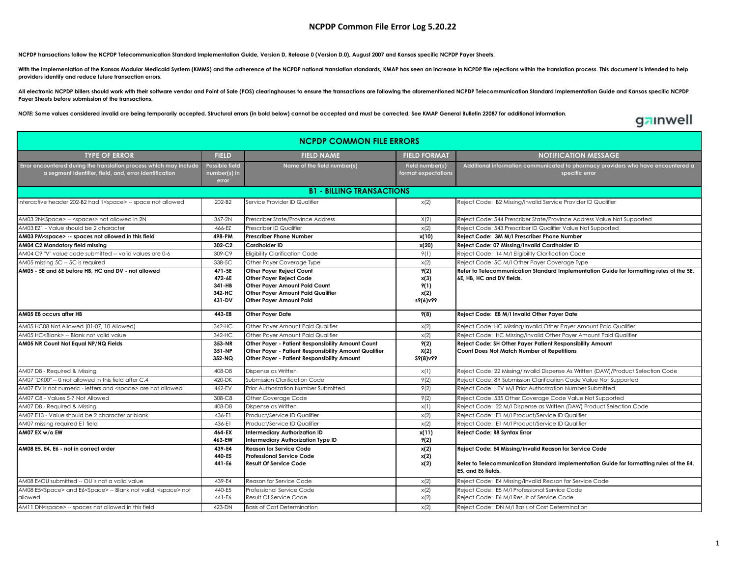## **NCPDP Common File Error Log 5.20.22**

**NCPDP transactions follow the NCPDP Telecommunication Standard Implementation Guide, Version D, Release 0 (Version D.0), August 2007 and Kansas specific NCPDP Payer Sheets.** 

With the implementation of the Kansas Modular Medicaid System (KMMS) and the adherence of the NCPDP national translation standards, KMAP has seen an increase in NCPDP file rejections within the translation process. This do **providers identify and reduce future transaction errors.**

All electronic NCPDP billers should work with their software vendor and Point of Sale (POS) clearinghouses to ensure the transactions are following the aforementioned NCPDP Telecommunication Standard Implementation Guide a **Payer Sheets before submission of the transactions.** 

NOTE: Some values considered invalid are being temporarily accepted. Structural errors (in bold below) cannot be accepted and must be corrected. See KMAP General Bulletin 22087 for additional information.

## gainwell

| <b>NCPDP COMMON FILE ERRORS</b>                                                                                              |                                                |                                                                                                                                                                    |                                          |                                                                                                                                                                           |  |  |  |  |
|------------------------------------------------------------------------------------------------------------------------------|------------------------------------------------|--------------------------------------------------------------------------------------------------------------------------------------------------------------------|------------------------------------------|---------------------------------------------------------------------------------------------------------------------------------------------------------------------------|--|--|--|--|
| <b>TYPE OF ERROR</b>                                                                                                         | <b>FIELD</b>                                   | <b>FIELD NAME</b>                                                                                                                                                  | <b>FIELD FORMAT</b>                      | <b>NOTIFICATION MESSAGE</b>                                                                                                                                               |  |  |  |  |
| Error encountered during the translation process which may include<br>a segment identifier, field, and, error identification | Possible field<br>number(s) in<br>error        | Name of the field number(s)                                                                                                                                        | Field number(s)<br>format expectations   | Additional information communicated to pharmacy providers who have encountered a<br>specific error                                                                        |  |  |  |  |
| <b>B1 - BILLING TRANSACTIONS</b>                                                                                             |                                                |                                                                                                                                                                    |                                          |                                                                                                                                                                           |  |  |  |  |
| Interactive header 202-B2 had 1 <space> -- space not allowed</space>                                                         | 202-B2                                         | Service Provider ID Qualifier                                                                                                                                      | x(2)                                     | Reject Code: B2 Missing/Invalid Service Provider ID Qualifier                                                                                                             |  |  |  |  |
| AM03 2N <space> -- <spaces> not allowed in 2N</spaces></space>                                                               | 367-2N                                         | Prescriber State/Province Address                                                                                                                                  | X(2)                                     | Reject Code: 544 Prescriber State/Province Address Value Not Supported                                                                                                    |  |  |  |  |
| AM03 EZ1 - Value should be 2 character                                                                                       | 466-EZ                                         | rescriber ID Qualifier                                                                                                                                             | x(2)                                     | Reject Code: 543 Prescriber ID Qualifier Value Not Supported                                                                                                              |  |  |  |  |
| AM03 PM <space> -- spaces not allowed in this field</space>                                                                  | 498-PM                                         | <b>Prescriber Phone Number</b>                                                                                                                                     | x(10)                                    | Reject Code: 3M M/I Prescriber Phone Number                                                                                                                               |  |  |  |  |
| AM04 C2 Mandatory field missing                                                                                              | 302-C2                                         | <b>Cardholder ID</b>                                                                                                                                               | x(20)                                    | Reject Code: 07 Missing/Invalid Cardholder ID                                                                                                                             |  |  |  |  |
| AM04 C9 "V" value code submitted -- valid values are 0-6                                                                     | 309-C9                                         | <b>Eligibility Clarification Code</b>                                                                                                                              | 9(1)                                     | Reject Code: 14 M/I Eligibility Clarification Code                                                                                                                        |  |  |  |  |
| AM05 missing 5C - 5C is required                                                                                             | 338-5C                                         | Other Payer Coverage Type                                                                                                                                          | x(2)                                     | Reject Code: 5C M/I Other Payer Coverage Type                                                                                                                             |  |  |  |  |
| AM05 - 5E and 6E before HB, HC and DV - not allowed                                                                          | 471-5E<br>472-6E<br>341-HB<br>342-HC<br>431-DV | <b>Other Paver Reiect Count</b><br><b>Other Payer Reject Code</b><br>Other Payer Amount Paid Count<br>Other Payer Amount Paid Qualifier<br>Other Payer Amount Paid | 9(2)<br>x(3)<br>9(1)<br>x(2)<br>s9(6)v99 | Refer to Telecommunication Standard Implementation Guide for formatting rules of the 5E,<br>6E, HB, HC and DV fields.                                                     |  |  |  |  |
| AM05 E8 occurs after HB                                                                                                      | 443-E8                                         | <b>Other Payer Date</b>                                                                                                                                            | 9(8)                                     | Reject Code: E8 M/I Invalid Other Payer Date                                                                                                                              |  |  |  |  |
| AM05 HC08 Not Allowed (01-07, 10 Allowed)                                                                                    | 342-HC                                         | Other Payer Amount Paid Qualifier                                                                                                                                  | x(2)                                     | Reject Code: HC Missing/Invalid Other Payer Amount Paid Qualifier                                                                                                         |  |  |  |  |
| AM05 HC <blank> -- Blank not valid value</blank>                                                                             | 342-HC                                         | Other Paver Amount Paid Qualifier                                                                                                                                  | x(2)                                     | Reject Code: HC Missing/Invalid Other Payer Amount Paid Qualifier                                                                                                         |  |  |  |  |
| AM05 NR Count Not Equal NP/NQ Fields                                                                                         | 353-NR<br>351-NP<br>352-NQ                     | Other Payer - Patient Responsibility Amount Count<br>Other Payer - Patient Responsibility Amount Qualifier<br>Other Payer - Patient Responsibility Amount          | 9(2)<br>X(2)<br>S9(8)v99                 | Reject Code: SH Other Payer Patient Responsibility Amount<br>Count Does Not Match Number of Repetitions                                                                   |  |  |  |  |
| AM07 D8 - Required & Missing                                                                                                 | 408-D8                                         | Dispense as Written                                                                                                                                                | x(1)                                     | Reject Code: 22 Missing/Invalid Dispense As Written (DAW)/Product Selection Code                                                                                          |  |  |  |  |
| AM07 "DK00" -- 0 not allowed in this field after C.4                                                                         | 420-DK                                         | Submission Clarification Code                                                                                                                                      | 9(2)                                     | Reject Code: 8R Submission Clarification Code Value Not Supported                                                                                                         |  |  |  |  |
| AM07 EV is not numeric - letters and <space> are not allowed</space>                                                         | 462-EV                                         | Prior Authorization Number Submitted                                                                                                                               | 9(2)                                     | Reject Code: EV M/I Prior Authorization Number Submitted                                                                                                                  |  |  |  |  |
| AM07 C8 - Values 5-7 Not Allowed                                                                                             | 308-C8                                         | Other Coverage Code                                                                                                                                                | 9(2)                                     | Reject Code: 535 Other Coverage Code Value Not Supported                                                                                                                  |  |  |  |  |
| AM07 D8 - Required & Missing                                                                                                 | 408-D8                                         | Dispense as Written                                                                                                                                                | x(1)                                     | Reject Code: 22 M/I Dispense as Written (DAW) Product Selection Code                                                                                                      |  |  |  |  |
| AM07 E13 - Value should be 2 character or blank                                                                              | 436-E1                                         | Product/Service ID Qualifier                                                                                                                                       | x(2)                                     | Reject Code: E1 M/I Product/Service ID Qualifier                                                                                                                          |  |  |  |  |
| AM07 missing required E1 field                                                                                               | 436-E1                                         | Product/Service ID Qualifier                                                                                                                                       | x(2)                                     | Reject Code: E1 M/I Product/Service ID Qualifier                                                                                                                          |  |  |  |  |
| AM07 EX w/o EW                                                                                                               | 464-EX<br>463-EW                               | Intermediary Authorization ID<br>Intermediary Authorization Type ID                                                                                                | x(11)<br>9(2)                            | Reject Code: R8 Syntax Error                                                                                                                                              |  |  |  |  |
| AM08 E5, E4, E6 - not in correct order                                                                                       | 439-E4<br>440-E5<br>441-E6                     | <b>Reason for Service Code</b><br><b>Professional Service Code</b><br><b>Result Of Service Code</b>                                                                | x(2)<br>x(2)<br>x(2)                     | Reject Code: E4 Missing/Invalid Reason for Service Code<br>Refer to Telecommunication Standard Implementation Guide for formatting rules of the E4,<br>E5, and E6 fields. |  |  |  |  |
| AM08 E4OU submitted -- OU is not a valid value                                                                               | 439-E4                                         | Reason for Service Code                                                                                                                                            | x(2)                                     | Reject Code: E4 Missing/Invalid Reason for Service Code                                                                                                                   |  |  |  |  |
| AM08 E5 <space> and E6<space> -- Blank not valid, <space> not<br/>allowed</space></space></space>                            | 440-F5<br>441-E6                               | Professional Service Code<br>Result Of Service Code                                                                                                                | x(2)<br>x(2)                             | Reject Code: E5 M/I Professional Service Code<br>Reject Code: E6 M/I Result of Service Code                                                                               |  |  |  |  |
| AM11 DN <space> -- spaces not allowed in this field</space>                                                                  | 423-DN                                         | <b>Basis of Cost Determination</b>                                                                                                                                 | x(2)                                     | Reject Code: DN M/I Basis of Cost Determination                                                                                                                           |  |  |  |  |